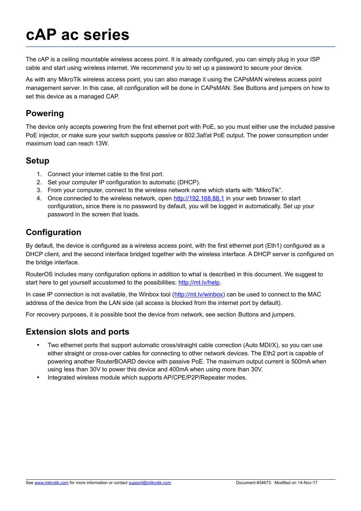# **cAP ac series**

The cAP is a ceiling mountable wireless access point. It is already configured, you can simply plug in your ISP cable and start using wireless internet. We recommend you to set up a password to secure your device.

As with any MikroTik wireless access point, you can also manage it using the CAPsMAN wireless access point management server. In this case, all configuration will be done in CAPsMAN. See [Buttons and jumpers](#page-1-0) on how to set this device as a managed CAP.

#### **Powering**

The device only accepts powering from the first ethernet port with PoE, so you must either use the included passive PoE injector, or make sure your switch supports passive or 802.3af/at PoE output. The power consumption under maximum load can reach 13W.

#### **Setup**

- 1. Connect your internet cable to the first port.
- 2. Set your computer IP configuration to automatic (DHCP).
- 3. From your computer, connect to the wireless network name which starts with "MikroTik".
- 4. Once connected to the wireless network, open http://192.168.88.1 in your web browser to start configuration**,** since there is no password by default, you will be logged in automatically. Set up your password in the screen that loads.

## **Configuration**

By default, the device is configured as a wireless access point, with the first ethernet port (Eth1) configured as a DHCP client, and the second interface bridged together with the wireless interface. A DHCP server is configured on the bridge interface.

RouterOS includes many configuration options in addition to what is described in this document. We suggest to start here to get yourself accustomed to the possibilities: [http://mt.lv/help.](http://mt.lv/help)

In case IP connection is not available, the Winbox tool [\(http://mt.lv/winbox\)](http://mt.lv/winbox) can be used to connect to the MAC address of the device from the LAN side (all access is blocked from the internet port by default).

For recovery purposes, it is possible boot the device from network, see section [Buttons and jumpers.](#page-1-0)

#### **Extension slots and ports**

- Two ethernet ports that support automatic cross/straight cable correction (Auto MDI/X), so you can use either straight or cross-over cables for connecting to other network devices. The Eth2 port is capable of powering another RouterBOARD device with passive PoE. The maximum output current is 500mA when using less than 30V to power this device and 400mA when using more than 30V.
- Integrated wireless module which supports AP/CPE/P2P/Repeater modes.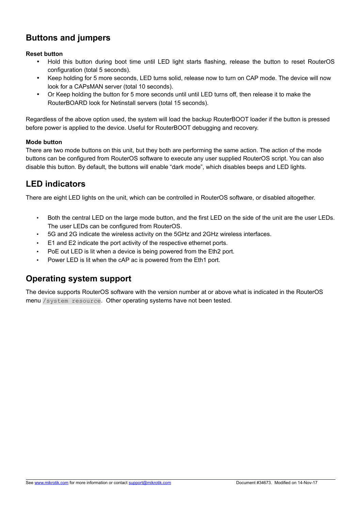# <span id="page-1-0"></span>**Buttons and jumpers**

#### **Reset button**

- Hold this button during boot time until LED light starts flashing, release the button to reset RouterOS configuration (total 5 seconds).
- Keep holding for 5 more seconds, LED turns solid, release now to turn on CAP mode. The device will now look for a CAPsMAN server (total 10 seconds).
- Or Keep holding the button for 5 more seconds until until LED turns off, then release it to make the RouterBOARD look for Netinstall servers (total 15 seconds).

Regardless of the above option used, the system will load the backup RouterBOOT loader if the button is pressed before power is applied to the device. Useful for RouterBOOT debugging and recovery.

#### **Mode button**

There are two mode buttons on this unit, but they both are performing the same action. The action of the mode buttons can be configured from RouterOS software to execute any user supplied RouterOS script. You can also disable this button. By default, the buttons will enable "dark mode", which disables beeps and LED lights.

## **LED indicators**

There are eight LED lights on the unit, which can be controlled in RouterOS software, or disabled altogether.

- Both the central LED on the large mode button, and the first LED on the side of the unit are the user LEDs. The user LEDs can be configured from RouterOS.
- 5G and 2G indicate the wireless activity on the 5GHz and 2GHz wireless interfaces.
- E1 and E2 indicate the port activity of the respective ethernet ports.
- PoE out LED is lit when a device is being powered from the Eth2 port.
- Power LED is lit when the cAP ac is powered from the Eth1 port.

## **Operating system support**

The device supports RouterOS software with the version number at or above what is indicated in the RouterOS menu /system resource. Other operating systems have not been tested.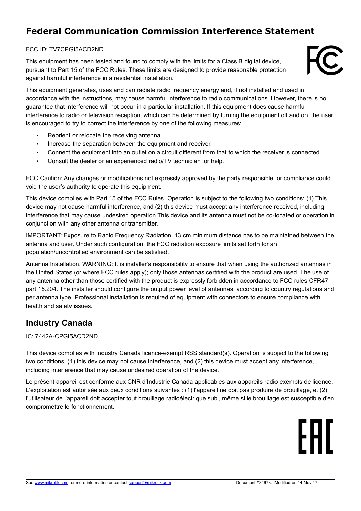# **Federal Communication Commission Interference Statement**

#### FCC ID: TV7CPGI5ACD2ND

This equipment has been tested and found to comply with the limits for a Class B digital device, pursuant to Part 15 of the FCC Rules. These limits are designed to provide reasonable protection against harmful interference in a residential installation.



This equipment generates, uses and can radiate radio frequency energy and, if not installed and used in accordance with the instructions, may cause harmful interference to radio communications. However, there is no guarantee that interference will not occur in a particular installation. If this equipment does cause harmful interference to radio or television reception, which can be determined by turning the equipment off and on, the user is encouraged to try to correct the interference by one of the following measures:

- Reorient or relocate the receiving antenna.
- Increase the separation between the equipment and receiver.
- Connect the equipment into an outlet on a circuit different from that to which the receiver is connected.
- Consult the dealer or an experienced radio/TV technician for help.

FCC Caution: Any changes or modifications not expressly approved by the party responsible for compliance could void the user's authority to operate this equipment.

This device complies with Part 15 of the FCC Rules. Operation is subject to the following two conditions: (1) This device may not cause harmful interference, and (2) this device must accept any interference received, including interference that may cause undesired operation.This device and its antenna must not be co-located or operation in conjunction with any other antenna or transmitter.

IMPORTANT: Exposure to Radio Frequency Radiation. 13 cm minimum distance has to be maintained between the antenna and user. Under such configuration, the FCC radiation exposure limits set forth for an population/uncontrolled environment can be satisfied.

Antenna Installation. WARNING: It is installer's responsibility to ensure that when using the authorized antennas in the United States (or where FCC rules apply); only those antennas certified with the product are used. The use of any antenna other than those certified with the product is expressly forbidden in accordance to FCC rules CFR47 part 15.204. The installer should configure the output power level of antennas, according to country regulations and per antenna type. Professional installation is required of equipment with connectors to ensure compliance with health and safety issues.

## **Industry Canada**

#### IC: 7442A-CPGI5ACD2ND

This device complies with Industry Canada licence-exempt RSS standard(s). Operation is subject to the following two conditions: (1) this device may not cause interference, and (2) this device must accept any interference, including interference that may cause undesired operation of the device.

Le présent appareil est conforme aux CNR d'Industrie Canada applicables aux appareils radio exempts de licence. L'exploitation est autorisée aux deux conditions suivantes : (1) l'appareil ne doit pas produire de brouillage, et (2) l'utilisateur de l'appareil doit accepter tout brouillage radioélectrique subi, même si le brouillage est susceptible d'en compromettre le fonctionnement.